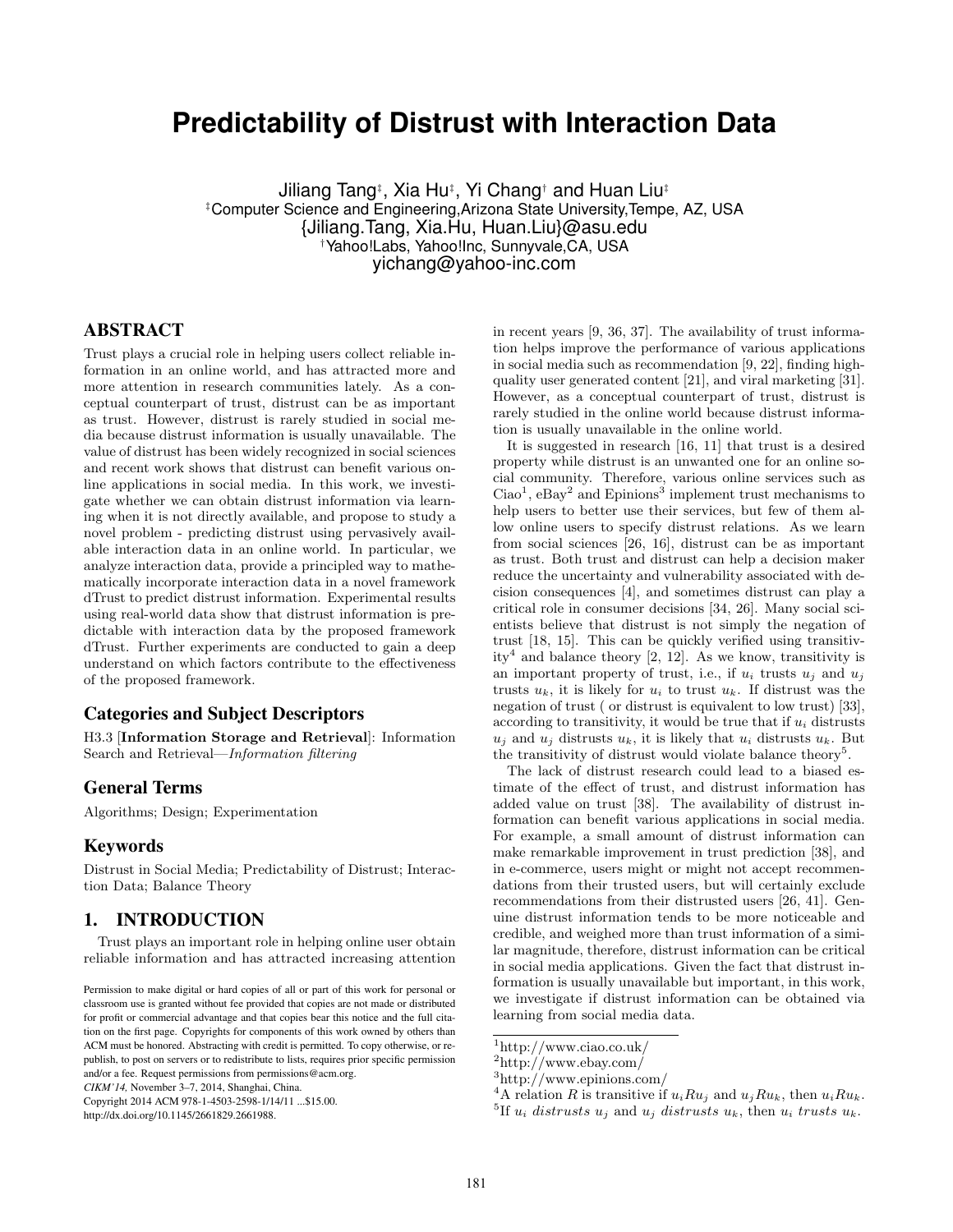# **Predictability of Distrust with Interaction Data**

Jiliang Tang‡ , Xia Hu‡ , Yi Chang† and Huan Liu‡ ‡Computer Science and Engineering,Arizona State University,Tempe, AZ, USA {Jiliang.Tang, Xia.Hu, Huan.Liu}@asu.edu †Yahoo!Labs, Yahoo!Inc, Sunnyvale,CA, USA yichang@yahoo-inc.com

# **ABSTRACT**

Trust plays a crucial role in helping users collect reliable information in an online world, and has attracted more and more attention in research communities lately. As a conceptual counterpart of trust, distrust can be as important as trust. However, distrust is rarely studied in social media because distrust information is usually unavailable. The value of distrust has been widely recognized in social sciences and recent work shows that distrust can benefit various online applications in social media. In this work, we investigate whether we can obtain distrust information via learning when it is not directly available, and propose to study a novel problem - predicting distrust using pervasively available interaction data in an online world. In particular, we analyze interaction data, provide a principled way to mathematically incorporate interaction data in a novel framework dTrust to predict distrust information. Experimental results using real-world data show that distrust information is predictable with interaction data by the proposed framework dTrust. Further experiments are conducted to gain a deep understand on which factors contribute to the effectiveness of the proposed framework.

## **Categories and Subject Descriptors**

H3.3 [Information Storage and Retrieval]: Information Search and Retrieval—*Information filtering*

# **General Terms**

Algorithms; Design; Experimentation

## **Keywords**

Distrust in Social Media; Predictability of Distrust; Interaction Data; Balance Theory

# **1. INTRODUCTION**

Trust plays an important role in helping online user obtain reliable information and has attracted increasing attention

*CIKM'14,* November 3–7, 2014, Shanghai, China.

Copyright 2014 ACM 978-1-4503-2598-1/14/11 ...\$15.00. http://dx.doi.org/10.1145/2661829.2661988.

in recent years [9, 36, 37]. The availability of trust information helps improve the performance of various applications in social media such as recommendation [9, 22], finding highquality user generated content [21], and viral marketing [31]. However, as a conceptual counterpart of trust, distrust is rarely studied in the online world because distrust information is usually unavailable in the online world.

It is suggested in research [16, 11] that trust is a desired property while distrust is an unwanted one for an online social community. Therefore, various online services such as Ciao<sup>1</sup>,  $e$ Bay<sup>2</sup> and Epinions<sup>3</sup> implement trust mechanisms to help users to better use their services, but few of them allow online users to specify distrust relations. As we learn from social sciences [26, 16], distrust can be as important as trust. Both trust and distrust can help a decision maker reduce the uncertainty and vulnerability associated with decision consequences [4], and sometimes distrust can play a critical role in consumer decisions [34, 26]. Many social scientists believe that distrust is not simply the negation of trust [18, 15]. This can be quickly verified using transitivity<sup>4</sup> and balance theory [2, 12]. As we know, transitivity is an important property of trust, i.e., if  $u_i$  trusts  $u_i$  and  $u_j$ trusts  $u_k$ , it is likely for  $u_i$  to trust  $u_k$ . If distrust was the negation of trust ( or distrust is equivalent to low trust) [33], according to transitivity, it would be true that if  $u_i$  distrusts  $u_i$  and  $u_j$  distrusts  $u_k$ , it is likely that  $u_i$  distrusts  $u_k$ . But the transitivity of distrust would violate balance theory<sup>5</sup>.

The lack of distrust research could lead to a biased estimate of the effect of trust, and distrust information has added value on trust [38]. The availability of distrust information can benefit various applications in social media. For example, a small amount of distrust information can make remarkable improvement in trust prediction [38], and in e-commerce, users might or might not accept recommendations from their trusted users, but will certainly exclude recommendations from their distrusted users [26, 41]. Genuine distrust information tends to be more noticeable and credible, and weighed more than trust information of a similar magnitude, therefore, distrust information can be critical in social media applications. Given the fact that distrust information is usually unavailable but important, in this work, we investigate if distrust information can be obtained via learning from social media data.

Permission to make digital or hard copies of all or part of this work for personal or classroom use is granted without fee provided that copies are not made or distributed for profit or commercial advantage and that copies bear this notice and the full citation on the first page. Copyrights for components of this work owned by others than ACM must be honored. Abstracting with credit is permitted. To copy otherwise, or republish, to post on servers or to redistribute to lists, requires prior specific permission and/or a fee. Request permissions from permissions@acm.org.

 $1$ http://www.ciao.co.uk/

<sup>2</sup>http://www.ebay.com/

<sup>3</sup>http://www.epinions.com/

<sup>&</sup>lt;sup>4</sup>A relation R is transitive if  $u_i R u_j$  and  $u_j R u_k$ , then  $u_i R u_k$ .

<sup>&</sup>lt;sup>5</sup>If  $u_i$  distrusts  $u_j$  and  $u_j$  distrusts  $u_k$ , then  $u_i$  trusts  $u_k$ .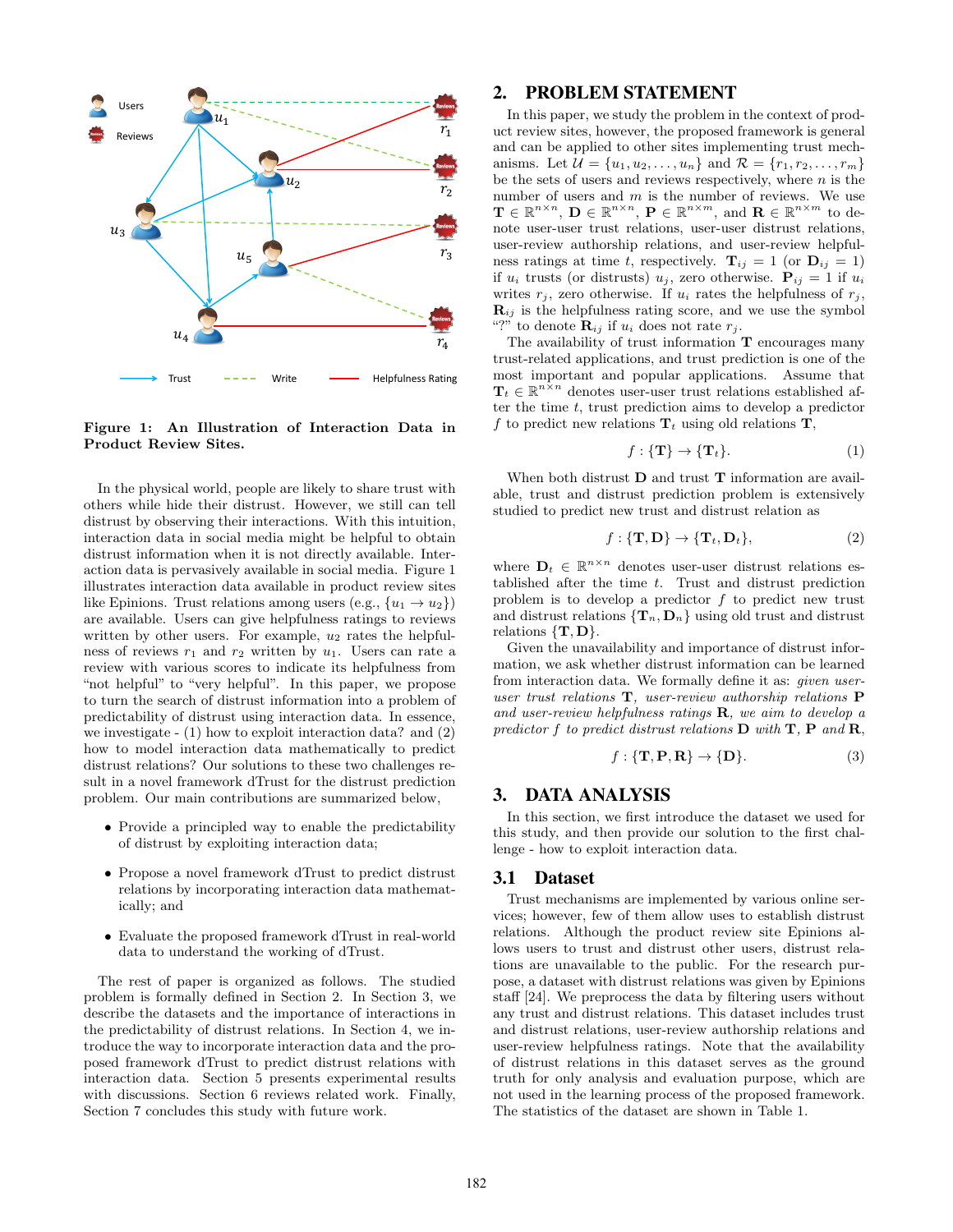

Figure 1: An Illustration of Interaction Data in Product Review Sites.

In the physical world, people are likely to share trust with others while hide their distrust. However, we still can tell distrust by observing their interactions. With this intuition, interaction data in social media might be helpful to obtain distrust information when it is not directly available. Interaction data is pervasively available in social media. Figure 1 illustrates interaction data available in product review sites like Epinions. Trust relations among users (e.g.,  $\{u_1 \rightarrow u_2\}$ ) are available. Users can give helpfulness ratings to reviews written by other users. For example,  $u_2$  rates the helpfulness of reviews  $r_1$  and  $r_2$  written by  $u_1$ . Users can rate a review with various scores to indicate its helpfulness from "not helpful" to "very helpful". In this paper, we propose to turn the search of distrust information into a problem of predictability of distrust using interaction data. In essence, we investigate  $- (1)$  how to exploit interaction data? and  $(2)$ how to model interaction data mathematically to predict distrust relations? Our solutions to these two challenges result in a novel framework dTrust for the distrust prediction problem. Our main contributions are summarized below,

- Provide a principled way to enable the predictability of distrust by exploiting interaction data;
- Propose a novel framework dTrust to predict distrust relations by incorporating interaction data mathematically; and
- Evaluate the proposed framework dTrust in real-world data to understand the working of dTrust.

The rest of paper is organized as follows. The studied problem is formally defined in Section 2. In Section 3, we describe the datasets and the importance of interactions in the predictability of distrust relations. In Section 4, we introduce the way to incorporate interaction data and the proposed framework dTrust to predict distrust relations with interaction data. Section 5 presents experimental results with discussions. Section 6 reviews related work. Finally, Section 7 concludes this study with future work.

## **2. PROBLEM STATEMENT**

In this paper, we study the problem in the context of product review sites, however, the proposed framework is general and can be applied to other sites implementing trust mechanisms. Let  $\mathcal{U} = \{u_1, u_2, ..., u_n\}$  and  $\mathcal{R} = \{r_1, r_2, ..., r_m\}$ be the sets of users and reviews respectively, where  $n$  is the number of users and  $m$  is the number of reviews. We use  $\mathbf{T} \in \mathbb{R}^{n \times n}$ ,  $\mathbf{D} \in \mathbb{R}^{n \times n}$ ,  $\mathbf{P} \in \mathbb{R}^{n \times m}$ , and  $\mathbf{R} \in \mathbb{R}^{n \times m}$  to denote user-user trust relations, user-user distrust relations, user-review authorship relations, and user-review helpfulness ratings at time t, respectively.  $\mathbf{T}_{ij} = 1$  (or  $\mathbf{D}_{ij} = 1$ ) if  $u_i$  trusts (or distrusts)  $u_j$ , zero otherwise.  $P_{ij} = 1$  if  $u_i$ writes  $r_j$ , zero otherwise. If  $u_i$  rates the helpfulness of  $r_j$ ,  $\mathbf{R}_{ij}$  is the helpfulness rating score, and we use the symbol "?" to denote  $\mathbf{R}_{ij}$  if  $u_i$  does not rate  $r_j$ .

The availability of trust information T encourages many trust-related applications, and trust prediction is one of the most important and popular applications. Assume that  $\mathbf{T}_t \in \mathbb{R}^{n \times n}$  denotes user-user trust relations established after the time  $t$ , trust prediction aims to develop a predictor f to predict new relations  $\mathbf{T}_t$  using old relations  $\mathbf{T}_t$ ,

$$
f: \{\mathbf{T}\} \to \{\mathbf{T}_t\}.
$$
 (1)

When both distrust  $D$  and trust  $T$  information are available, trust and distrust prediction problem is extensively studied to predict new trust and distrust relation as

$$
f: \{\mathbf{T}, \mathbf{D}\} \to \{\mathbf{T}_t, \mathbf{D}_t\},\tag{2}
$$

where  $\mathbf{D}_t \in \mathbb{R}^{n \times n}$  denotes user-user distrust relations established after the time t. Trust and distrust prediction problem is to develop a predictor  $f$  to predict new trust and distrust relations  $\{T_n, D_n\}$  using old trust and distrust relations  $\{T, D\}.$ 

Given the unavailability and importance of distrust information, we ask whether distrust information can be learned from interaction data. We formally define it as: *given useruser trust relations* T*, user-review authorship relations* P *and user-review helpfulness ratings* R*, we aim to develop a predictor* f *to predict distrust relations* D *with* T*,* P *and* R,

$$
f: \{\mathbf{T}, \mathbf{P}, \mathbf{R}\} \to \{\mathbf{D}\}. \tag{3}
$$

## **3. DATA ANALYSIS**

In this section, we first introduce the dataset we used for this study, and then provide our solution to the first challenge - how to exploit interaction data.

#### **3.1 Dataset**

Trust mechanisms are implemented by various online services; however, few of them allow uses to establish distrust relations. Although the product review site Epinions allows users to trust and distrust other users, distrust relations are unavailable to the public. For the research purpose, a dataset with distrust relations was given by Epinions staff [24]. We preprocess the data by filtering users without any trust and distrust relations. This dataset includes trust and distrust relations, user-review authorship relations and user-review helpfulness ratings. Note that the availability of distrust relations in this dataset serves as the ground truth for only analysis and evaluation purpose, which are not used in the learning process of the proposed framework. The statistics of the dataset are shown in Table 1.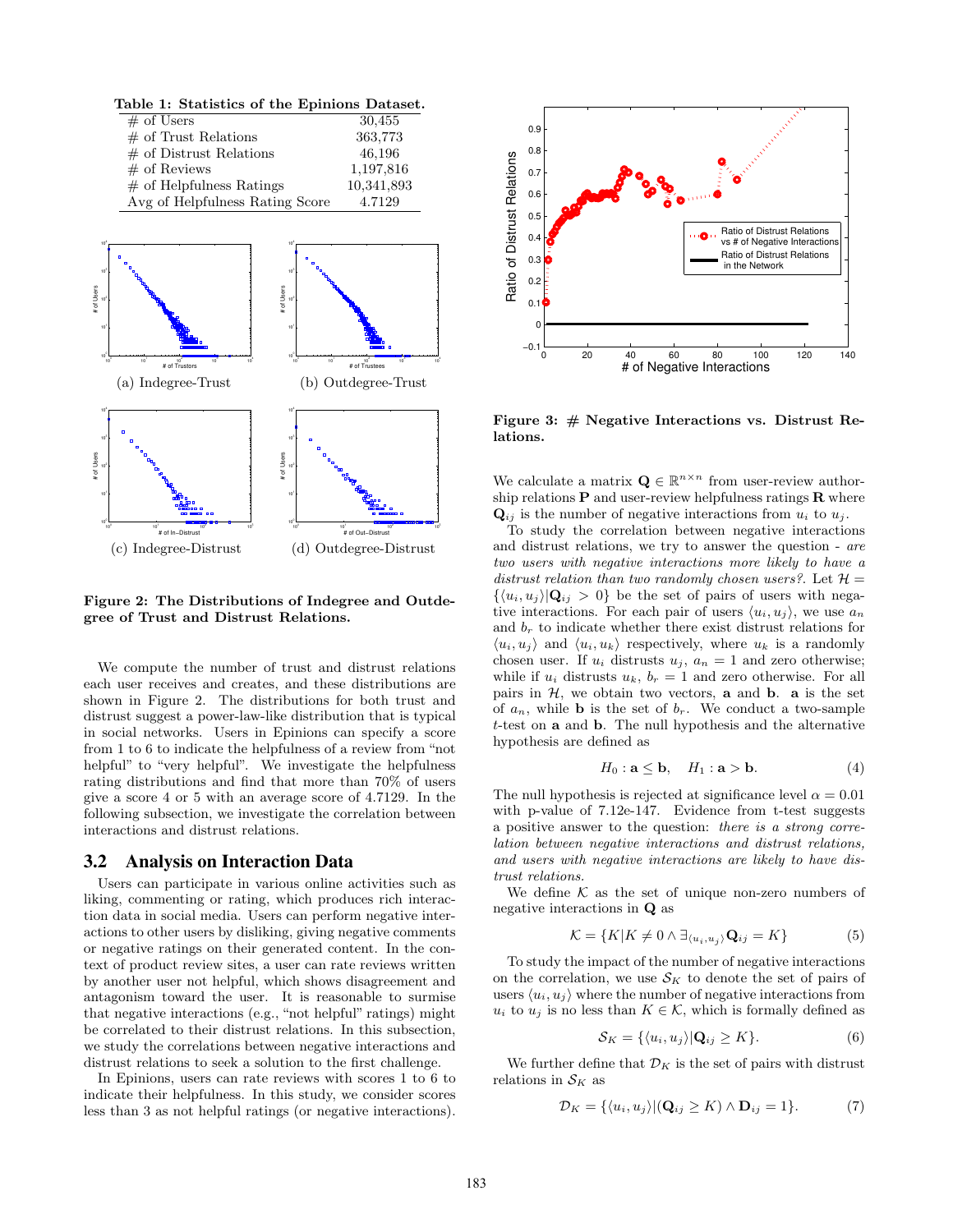

Figure 2: The Distributions of Indegree and Outdegree of Trust and Distrust Relations.

We compute the number of trust and distrust relations each user receives and creates, and these distributions are shown in Figure 2. The distributions for both trust and distrust suggest a power-law-like distribution that is typical in social networks. Users in Epinions can specify a score from 1 to 6 to indicate the helpfulness of a review from "not helpful" to "very helpful". We investigate the helpfulness rating distributions and find that more than 70% of users give a score 4 or 5 with an average score of 4.7129. In the following subsection, we investigate the correlation between interactions and distrust relations.

#### **3.2 Analysis on Interaction Data**

Users can participate in various online activities such as liking, commenting or rating, which produces rich interaction data in social media. Users can perform negative interactions to other users by disliking, giving negative comments or negative ratings on their generated content. In the context of product review sites, a user can rate reviews written by another user not helpful, which shows disagreement and antagonism toward the user. It is reasonable to surmise that negative interactions (e.g., "not helpful" ratings) might be correlated to their distrust relations. In this subsection, we study the correlations between negative interactions and distrust relations to seek a solution to the first challenge.

In Epinions, users can rate reviews with scores 1 to 6 to indicate their helpfulness. In this study, we consider scores less than 3 as not helpful ratings (or negative interactions).



Figure 3:  $\#$  Negative Interactions vs. Distrust Relations.

We calculate a matrix  $\mathbf{Q} \in \mathbb{R}^{n \times n}$  from user-review authorship relations  $P$  and user-review helpfulness ratings  $R$  where  $\mathbf{Q}_{ij}$  is the number of negative interactions from  $u_i$  to  $u_j$ .

To study the correlation between negative interactions and distrust relations, we try to answer the question - *are two users with negative interactions more likely to have a distrust relation than two randomly chosen users?*. Let  $\mathcal{H} =$  $\{\langle u_i, u_j \rangle | \mathbf{Q}_{ij} > 0\}$  be the set of pairs of users with negative interactions. For each pair of users  $\langle u_i, u_j \rangle$ , we use  $a_n$ and  $b_r$  to indicate whether there exist distrust relations for  $\langle u_i, u_j \rangle$  and  $\langle u_i, u_k \rangle$  respectively, where  $u_k$  is a randomly chosen user. If  $u_i$  distrusts  $u_j$ ,  $a_n = 1$  and zero otherwise; while if  $u_i$  distrusts  $u_k$ ,  $b_r = 1$  and zero otherwise. For all pairs in  $H$ , we obtain two vectors, **a** and **b**. **a** is the set of  $a_n$ , while **b** is the set of  $b_r$ . We conduct a two-sample t-test on a and b. The null hypothesis and the alternative hypothesis are defined as

$$
H_0: \mathbf{a} \leq \mathbf{b}, \quad H_1: \mathbf{a} > \mathbf{b}.\tag{4}
$$

The null hypothesis is rejected at significance level  $\alpha = 0.01$ with p-value of 7.12e-147. Evidence from t-test suggests a positive answer to the question: *there is a strong correlation between negative interactions and distrust relations, and users with negative interactions are likely to have distrust relations.*

We define  $K$  as the set of unique non-zero numbers of negative interactions in Q as

$$
\mathcal{K} = \{K | K \neq 0 \land \exists_{\langle u_i, u_j \rangle} \mathbf{Q}_{ij} = K\}
$$
 (5)

To study the impact of the number of negative interactions on the correlation, we use  $\mathcal{S}_K$  to denote the set of pairs of users  $\langle u_i, u_j \rangle$  where the number of negative interactions from  $u_i$  to  $u_j$  is no less than  $K \in \mathcal{K}$ , which is formally defined as

$$
\mathcal{S}_K = \{ \langle u_i, u_j \rangle | \mathbf{Q}_{ij} \ge K \}. \tag{6}
$$

We further define that  $\mathcal{D}_K$  is the set of pairs with distrust relations in  $\mathcal{S}_K$  as

$$
\mathcal{D}_K = \{ \langle u_i, u_j \rangle | (\mathbf{Q}_{ij} \ge K) \wedge \mathbf{D}_{ij} = 1 \}. \tag{7}
$$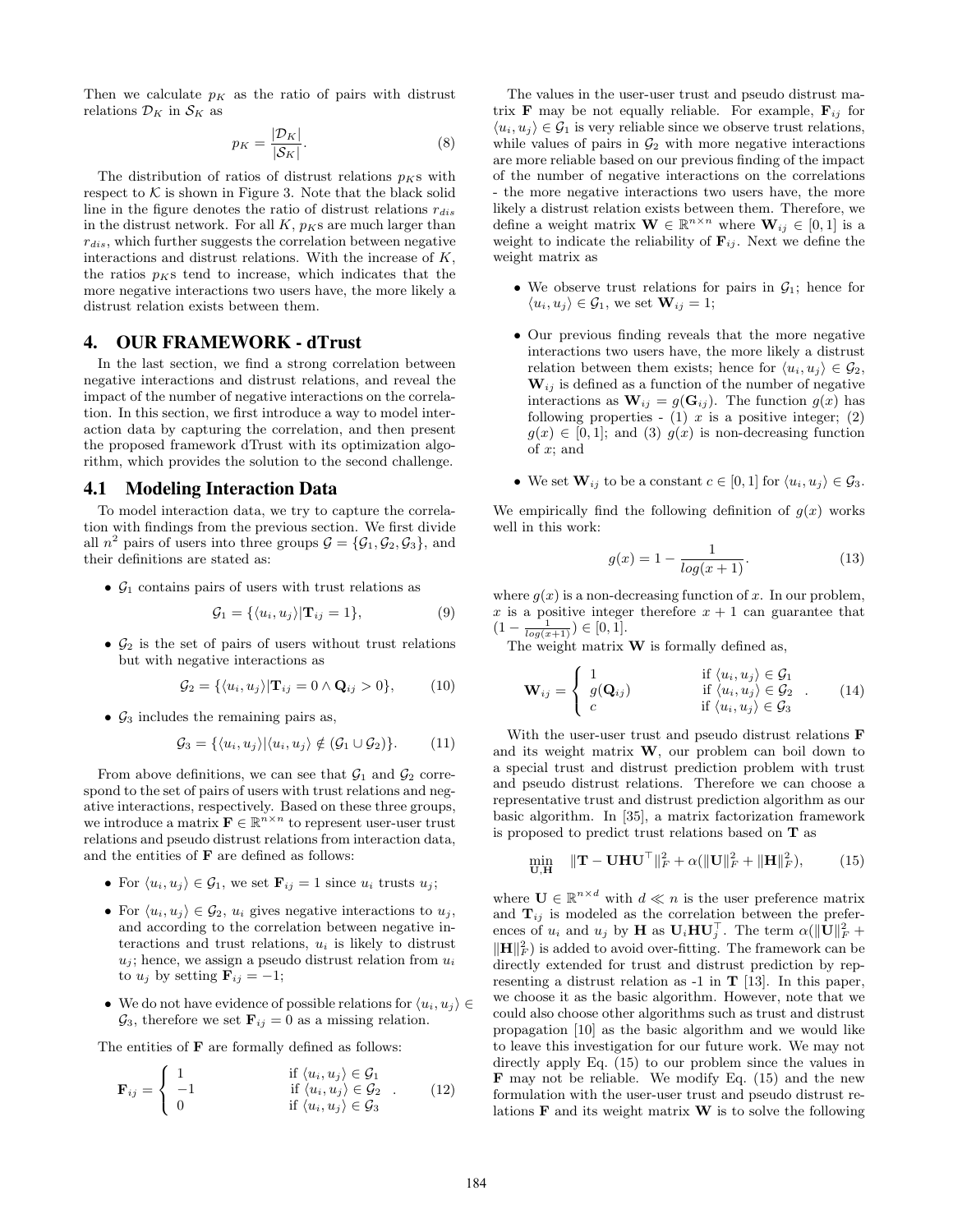Then we calculate  $p<sub>K</sub>$  as the ratio of pairs with distrust relations  $\mathcal{D}_K$  in  $\mathcal{S}_K$  as

$$
p_K = \frac{|\mathcal{D}_K|}{|\mathcal{S}_K|}.\tag{8}
$$

The distribution of ratios of distrust relations  $p<sub>K</sub>$ s with respect to  $K$  is shown in Figure 3. Note that the black solid line in the figure denotes the ratio of distrust relations  $r_{dis}$ in the distrust network. For all  $K$ ,  $p<sub>K</sub>$ s are much larger than  $r_{dis}$ , which further suggests the correlation between negative interactions and distrust relations. With the increase of  $K$ , the ratios  $p<sub>KS</sub>$  tend to increase, which indicates that the more negative interactions two users have, the more likely a distrust relation exists between them.

# **4. OUR FRAMEWORK - dTrust**

In the last section, we find a strong correlation between negative interactions and distrust relations, and reveal the impact of the number of negative interactions on the correlation. In this section, we first introduce a way to model interaction data by capturing the correlation, and then present the proposed framework dTrust with its optimization algorithm, which provides the solution to the second challenge.

## **4.1 Modeling Interaction Data**

To model interaction data, we try to capture the correlation with findings from the previous section. We first divide all  $n^2$  pairs of users into three groups  $\mathcal{G} = {\mathcal{G}_1, \mathcal{G}_2, \mathcal{G}_3}$ , and their definitions are stated as:

•  $\mathcal{G}_1$  contains pairs of users with trust relations as

$$
\mathcal{G}_1 = \{ \langle u_i, u_j \rangle | \mathbf{T}_{ij} = 1 \},\tag{9}
$$

•  $\mathcal{G}_2$  is the set of pairs of users without trust relations but with negative interactions as

$$
\mathcal{G}_2 = \{ \langle u_i, u_j \rangle | \mathbf{T}_{ij} = 0 \land \mathbf{Q}_{ij} > 0 \},\tag{10}
$$

•  $\mathcal{G}_3$  includes the remaining pairs as,

$$
\mathcal{G}_3 = \{ \langle u_i, u_j \rangle | \langle u_i, u_j \rangle \notin (\mathcal{G}_1 \cup \mathcal{G}_2) \}. \tag{11}
$$

From above definitions, we can see that  $\mathcal{G}_1$  and  $\mathcal{G}_2$  correspond to the set of pairs of users with trust relations and negative interactions, respectively. Based on these three groups, we introduce a matrix  $\mathbf{F} \in \mathbb{R}^{n \times n}$  to represent user-user trust relations and pseudo distrust relations from interaction data, and the entities of  $\bf{F}$  are defined as follows:

- For  $\langle u_i, u_j \rangle \in \mathcal{G}_1$ , we set  $\mathbf{F}_{ij} = 1$  since  $u_i$  trusts  $u_j$ ;
- For  $\langle u_i, u_j \rangle \in \mathcal{G}_2$ ,  $u_i$  gives negative interactions to  $u_j$ , and according to the correlation between negative interactions and trust relations,  $u_i$  is likely to distrust  $u_i$ ; hence, we assign a pseudo distrust relation from  $u_i$ to  $u_j$  by setting  $\mathbf{F}_{ij} = -1$ ;
- We do not have evidence of possible relations for  $\langle u_i, u_j \rangle \in$  $\mathcal{G}_3$ , therefore we set  $\mathbf{F}_{ij} = 0$  as a missing relation.

The entities of  **are formally defined as follows:** 

$$
\mathbf{F}_{ij} = \begin{cases} 1 & \text{if } \langle u_i, u_j \rangle \in \mathcal{G}_1 \\ -1 & \text{if } \langle u_i, u_j \rangle \in \mathcal{G}_2 \\ 0 & \text{if } \langle u_i, u_j \rangle \in \mathcal{G}_3 \end{cases} . \tag{12}
$$

The values in the user-user trust and pseudo distrust matrix **F** may be not equally reliable. For example,  $\mathbf{F}_{ij}$  for  $\langle u_i, u_j \rangle \in \mathcal{G}_1$  is very reliable since we observe trust relations, while values of pairs in  $\mathcal{G}_2$  with more negative interactions are more reliable based on our previous finding of the impact of the number of negative interactions on the correlations - the more negative interactions two users have, the more likely a distrust relation exists between them. Therefore, we define a weight matrix  $\mathbf{W} \in \mathbb{R}^{n \times n}$  where  $\mathbf{W}_{ij} \in [0, 1]$  is a weight to indicate the reliability of  $\mathbf{F}_{ij}$ . Next we define the weight matrix as

- We observe trust relations for pairs in  $\mathcal{G}_1$ ; hence for  $\langle u_i, u_j \rangle \in \mathcal{G}_1$ , we set  $\mathbf{W}_{ij} = 1$ ;
- Our previous finding reveals that the more negative interactions two users have, the more likely a distrust relation between them exists; hence for  $\langle u_i, u_j \rangle \in \mathcal{G}_2$ ,  $\mathbf{W}_{ij}$  is defined as a function of the number of negative interactions as  $\mathbf{W}_{ij} = g(\mathbf{G}_{ij})$ . The function  $g(x)$  has following properties - (1) x is a positive integer; (2)  $g(x) \in [0,1]$ ; and (3)  $g(x)$  is non-decreasing function of x; and
- We set  $\mathbf{W}_{ij}$  to be a constant  $c \in [0, 1]$  for  $\langle u_i, u_j \rangle \in \mathcal{G}_3$ .

We empirically find the following definition of  $g(x)$  works well in this work:

$$
g(x) = 1 - \frac{1}{\log(x+1)}.\t(13)
$$

where  $q(x)$  is a non-decreasing function of x. In our problem, x is a positive integer therefore  $x + 1$  can guarantee that  $(1 - \frac{1}{\log(x+1)}) \in [0,1].$ 

The weight matrix  $W$  is formally defined as,

$$
\mathbf{W}_{ij} = \begin{cases} 1 & \text{if } \langle u_i, u_j \rangle \in \mathcal{G}_1 \\ g(\mathbf{Q}_{ij}) & \text{if } \langle u_i, u_j \rangle \in \mathcal{G}_2 \\ c & \text{if } \langle u_i, u_j \rangle \in \mathcal{G}_3 \end{cases} . \tag{14}
$$

With the user-user trust and pseudo distrust relations **F** and its weight matrix W, our problem can boil down to a special trust and distrust prediction problem with trust and pseudo distrust relations. Therefore we can choose a representative trust and distrust prediction algorithm as our basic algorithm. In [35], a matrix factorization framework is proposed to predict trust relations based on T as

$$
\min_{\mathbf{U},\mathbf{H}} \quad \|\mathbf{T} - \mathbf{U}\mathbf{H}\mathbf{U}^{\top}\|_{F}^{2} + \alpha (\|\mathbf{U}\|_{F}^{2} + \|\mathbf{H}\|_{F}^{2}),\tag{15}
$$

where  $\mathbf{U} \in \mathbb{R}^{n \times d}$  with  $d \ll n$  is the user preference matrix and  $T_{ij}$  is modeled as the correlation between the preferences of  $u_i$  and  $u_j$  by **H** as  $\mathbf{U}_i \mathbf{HU}_j^{\top}$ . The term  $\alpha(||\mathbf{U}||_F^2 +$  $\|\mathbf{H}\|_F^2$  is added to avoid over-fitting. The framework can be directly extended for trust and distrust prediction by representing a distrust relation as  $-1$  in **T** [13]. In this paper, we choose it as the basic algorithm. However, note that we could also choose other algorithms such as trust and distrust propagation [10] as the basic algorithm and we would like to leave this investigation for our future work. We may not directly apply Eq. (15) to our problem since the values in F may not be reliable. We modify Eq. (15) and the new formulation with the user-user trust and pseudo distrust relations  $\bf{F}$  and its weight matrix  $\bf{W}$  is to solve the following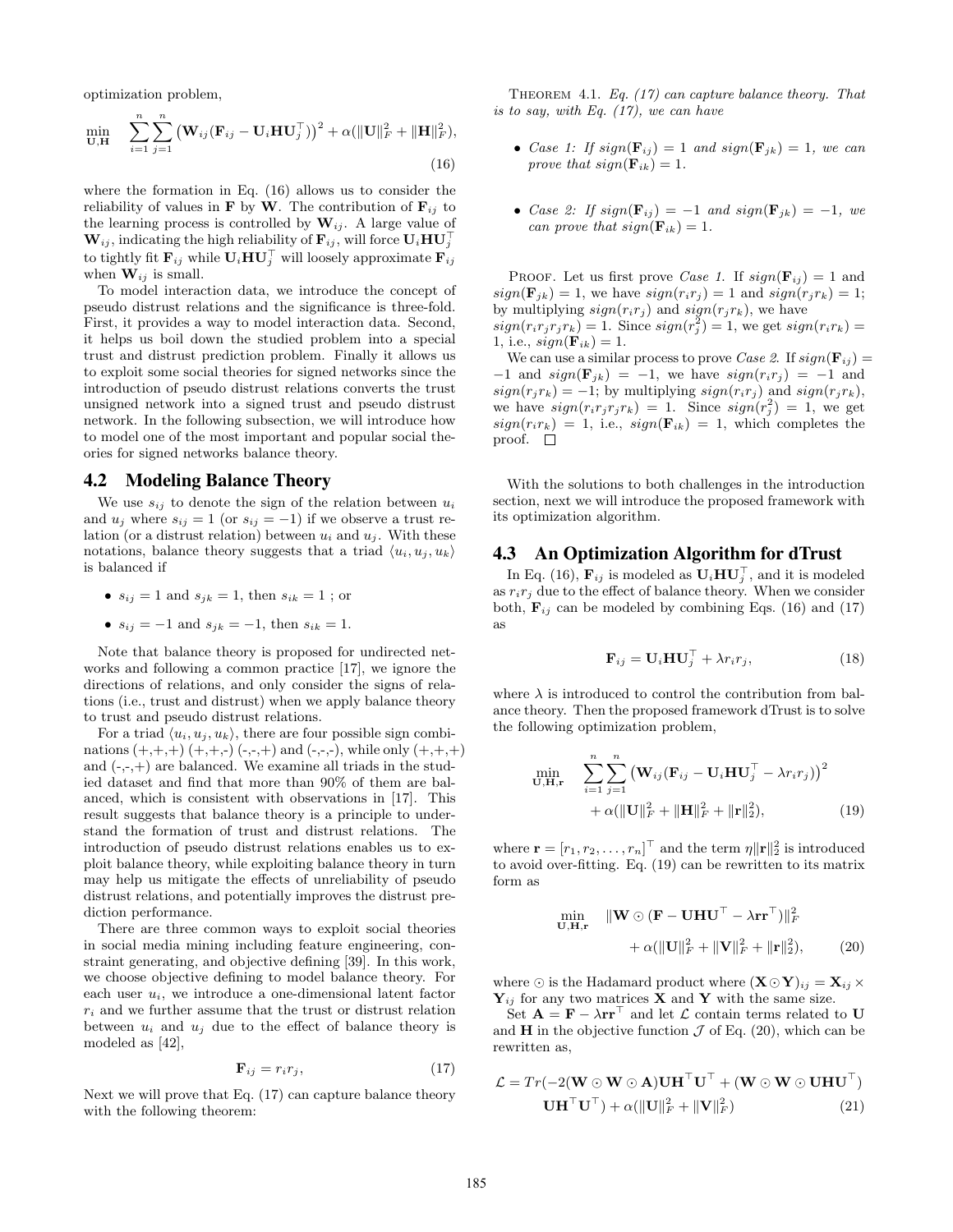optimization problem,

$$
\min_{\mathbf{U}, \mathbf{H}} \quad \sum_{i=1}^{n} \sum_{j=1}^{n} \left( \mathbf{W}_{ij} (\mathbf{F}_{ij} - \mathbf{U}_{i} \mathbf{H} \mathbf{U}_{j}^{\top}) \right)^{2} + \alpha (\|\mathbf{U}\|_{F}^{2} + \|\mathbf{H}\|_{F}^{2}),
$$
\n(16)

where the formation in Eq. (16) allows us to consider the reliability of values in **F** by **W**. The contribution of  $\mathbf{F}_{ij}$  to the learning process is controlled by  $\mathbf{W}_{ij}$ . A large value of  $\mathbf{W}_{ij}$ , indicating the high reliability of  $\mathbf{F}_{ij}$ , will force  $\mathbf{U}_i \mathbf{HU}_j^\top$ to tightly fit  $\mathbf{F}_{ij}$  while  $\mathbf{U}_i \mathbf{HU}_j^\top$  will loosely approximate  $\mathbf{F}_{ij}$ when  $\mathbf{W}_{ij}$  is small.

To model interaction data, we introduce the concept of pseudo distrust relations and the significance is three-fold. First, it provides a way to model interaction data. Second, it helps us boil down the studied problem into a special trust and distrust prediction problem. Finally it allows us to exploit some social theories for signed networks since the introduction of pseudo distrust relations converts the trust unsigned network into a signed trust and pseudo distrust network. In the following subsection, we will introduce how to model one of the most important and popular social theories for signed networks balance theory.

#### **4.2 Modeling Balance Theory**

We use  $s_{ij}$  to denote the sign of the relation between  $u_i$ and  $u_j$  where  $s_{ij} = 1$  (or  $s_{ij} = -1$ ) if we observe a trust relation (or a distrust relation) between  $u_i$  and  $u_j$ . With these notations, balance theory suggests that a triad  $\langle u_i, u_j, u_k \rangle$ is balanced if

•  $s_{ij} = 1$  and  $s_{jk} = 1$ , then  $s_{ik} = 1$ ; or

• 
$$
s_{ij} = -1
$$
 and  $s_{jk} = -1$ , then  $s_{ik} = 1$ .

Note that balance theory is proposed for undirected networks and following a common practice [17], we ignore the directions of relations, and only consider the signs of relations (i.e., trust and distrust) when we apply balance theory to trust and pseudo distrust relations.

For a triad  $\langle u_i, u_j, u_k \rangle$ , there are four possible sign combinations  $(+,+,+)$   $(+,+,-)$   $(-,-,+)$  and  $(-,-,-)$ , while only  $(+,+,+)$ and  $(-,-,+)$  are balanced. We examine all triads in the studied dataset and find that more than 90% of them are balanced, which is consistent with observations in [17]. This result suggests that balance theory is a principle to understand the formation of trust and distrust relations. The introduction of pseudo distrust relations enables us to exploit balance theory, while exploiting balance theory in turn may help us mitigate the effects of unreliability of pseudo distrust relations, and potentially improves the distrust prediction performance.

There are three common ways to exploit social theories in social media mining including feature engineering, constraint generating, and objective defining [39]. In this work, we choose objective defining to model balance theory. For each user  $u_i$ , we introduce a one-dimensional latent factor  $r_i$  and we further assume that the trust or distrust relation between  $u_i$  and  $u_j$  due to the effect of balance theory is modeled as [42],

$$
\mathbf{F}_{ij} = r_i r_j,\tag{17}
$$

Next we will prove that Eq. (17) can capture balance theory with the following theorem:

Theorem 4.1. *Eq. (17) can capture balance theory. That is to say, with Eq. (17), we can have*

- *Case 1:* If  $sign(\mathbf{F}_{ij}) = 1$  and  $sign(\mathbf{F}_{jk}) = 1$ , we can *prove that*  $sign(\mathbf{F}_{ik}) = 1$ .
- *Case 2:* If  $sign(\mathbf{F}_{ij}) = -1$  and  $sign(\mathbf{F}_{jk}) = -1$ , we *can prove that*  $sign(\mathbf{F}_{ik}) = 1$ *.*

PROOF. Let us first prove *Case 1*. If  $sign(\mathbf{F}_{ij}) = 1$  and  $sign(\mathbf{F}_{ik}) = 1$ , we have  $sign(r_i r_j) = 1$  and  $sign(r_i r_k) = 1$ ; by multiplying  $sign(r_i r_j)$  and  $sign(r_j r_k)$ , we have  $sign(r_i r_j r_j r_k) = 1$ . Since  $sign(r_j^2) = 1$ , we get  $sign(r_i r_k) =$ 1, i.e.,  $sign(\mathbf{F}_{ik}) = 1$ .

We can use a similar process to prove *Case 2*. If  $sign(\mathbf{F}_{ij}) =$  $-1$  and  $sign(\mathbf{F}_{jk}) = -1$ , we have  $sign(r_i r_j) = -1$  and  $sign(r_j r_k) = -1$ ; by multiplying  $sign(r_i r_j)$  and  $sign(r_j r_k)$ , we have  $sign(r_i r_j r_j r_k) = 1$ . Since  $sign(r_j^2) = 1$ , we get  $sign(r_ir_k) = 1$ , i.e.,  $sign(\mathbf{F}_{ik}) = 1$ , which completes the proof.  $\square$ 

With the solutions to both challenges in the introduction section, next we will introduce the proposed framework with its optimization algorithm.

## **4.3 An Optimization Algorithm for dTrust**

In Eq. (16),  $\mathbf{F}_{ij}$  is modeled as  $\mathbf{U}_i \mathbf{HU}_j^{\top}$ , and it is modeled as  $r_i r_j$  due to the effect of balance theory. When we consider both,  $\mathbf{F}_{ij}$  can be modeled by combining Eqs. (16) and (17) as

$$
\mathbf{F}_{ij} = \mathbf{U}_i \mathbf{H} \mathbf{U}_j^\top + \lambda r_i r_j, \tag{18}
$$

where  $\lambda$  is introduced to control the contribution from balance theory. Then the proposed framework dTrust is to solve the following optimization problem,

$$
\min_{\mathbf{U}, \mathbf{H}, \mathbf{r}} \quad \sum_{i=1}^{n} \sum_{j=1}^{n} \left( \mathbf{W}_{ij} (\mathbf{F}_{ij} - \mathbf{U}_{i} \mathbf{H} \mathbf{U}_{j}^{\top} - \lambda r_{i} r_{j}) \right)^{2} + \alpha (\|\mathbf{U}\|_{F}^{2} + \|\mathbf{H}\|_{F}^{2} + \|\mathbf{r}\|_{2}^{2}), \tag{19}
$$

where  $\mathbf{r} = [r_1, r_2, \dots, r_n]^\top$  and the term  $\eta \|\mathbf{r}\|_2^2$  is introduced to avoid over-fitting. Eq. (19) can be rewritten to its matrix form as

$$
\min_{\mathbf{U}, \mathbf{H}, \mathbf{r}} \quad \|\mathbf{W} \odot (\mathbf{F} - \mathbf{U} \mathbf{H} \mathbf{U}^{\top} - \lambda \mathbf{r} \mathbf{r}^{\top})\|_{F}^{2} \n+ \alpha (\|\mathbf{U}\|_{F}^{2} + \|\mathbf{V}\|_{F}^{2} + \|\mathbf{r}\|_{2}^{2}),
$$
\n(20)

where ⊙ is the Hadamard product where  $(\mathbf{X}\odot \mathbf{Y})_{ij} = \mathbf{X}_{ij} \times$  $Y_{ij}$  for any two matrices **X** and **Y** with the same size.

Set  $\mathbf{A} = \mathbf{F} - \lambda \mathbf{r} \mathbf{r}^{\top}$  and let  $\mathcal{L}$  contain terms related to U and **H** in the objective function  $\mathcal J$  of Eq. (20), which can be rewritten as,

$$
\mathcal{L} = Tr(-2(\mathbf{W} \odot \mathbf{W} \odot \mathbf{A})\mathbf{U}\mathbf{H}^{\top}\mathbf{U}^{\top} + (\mathbf{W} \odot \mathbf{W} \odot \mathbf{U}\mathbf{H}\mathbf{U}^{\top})
$$

$$
\mathbf{U}\mathbf{H}^{\top}\mathbf{U}^{\top}) + \alpha(||\mathbf{U}||_{F}^{2} + ||\mathbf{V}||_{F}^{2})
$$
(21)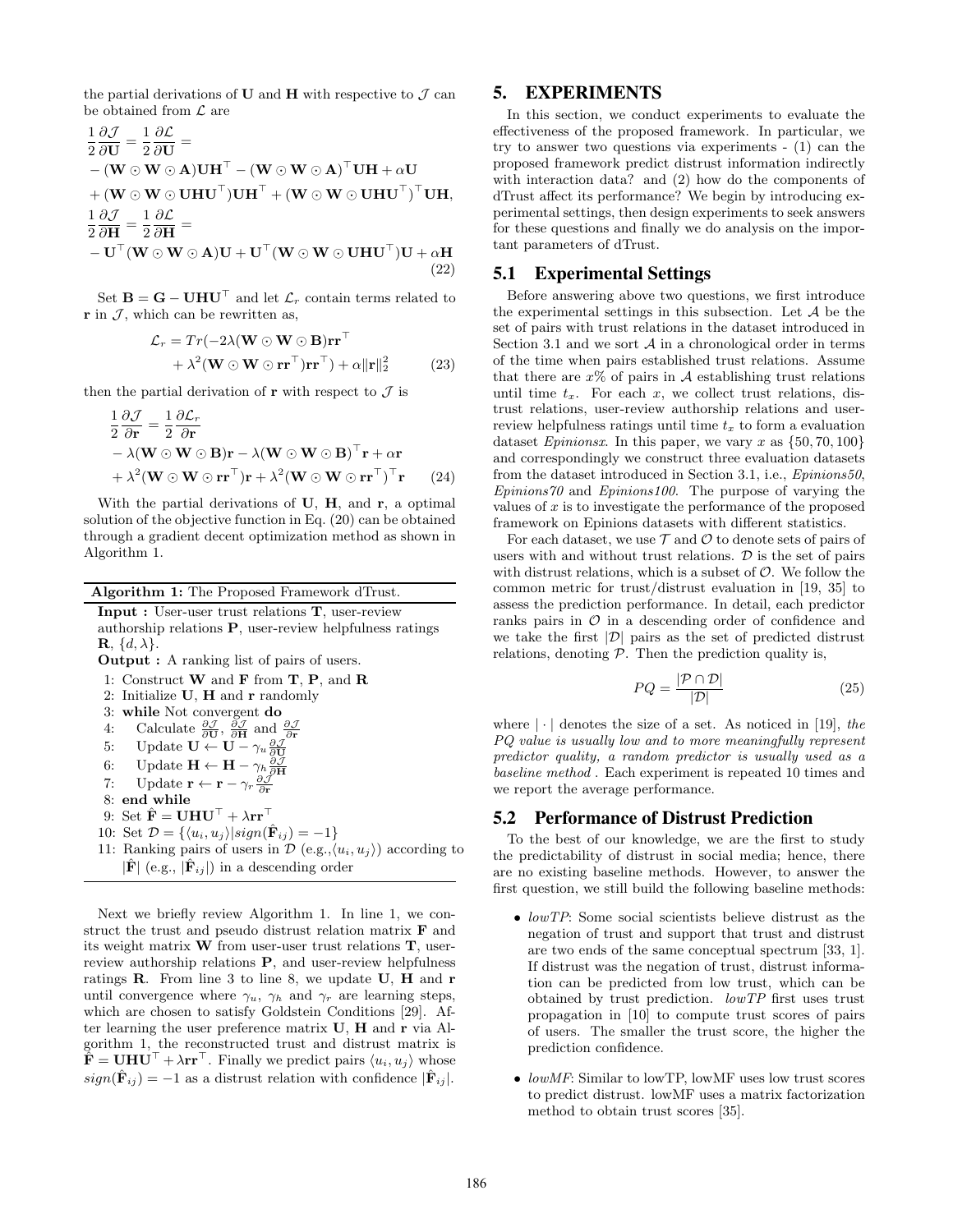the partial derivations of U and H with respective to  $\mathcal J$  can be obtained from  $\mathcal L$  are

$$
\frac{1}{2} \frac{\partial \mathcal{J}}{\partial U} = \frac{1}{2} \frac{\partial \mathcal{L}}{\partial U} =
$$
\n
$$
-(W \odot W \odot A)UH^{\top} - (W \odot W \odot A)^{\top}UH + \alpha U
$$
\n
$$
+(W \odot W \odot UHU^{\top})UH^{\top} + (W \odot W \odot UHU^{\top})^{\top}UH,
$$
\n
$$
\frac{1}{2} \frac{\partial \mathcal{J}}{\partial H} = \frac{1}{2} \frac{\partial \mathcal{L}}{\partial H} =
$$
\n
$$
- U^{\top} (W \odot W \odot A)U + U^{\top} (W \odot W \odot UHU^{\top})U + \alpha H
$$
\n(22)

Set  $\mathbf{B} = \mathbf{G} - \mathbf{U} \mathbf{H} \mathbf{U}^{\top}$  and let  $\mathcal{L}_r$  contain terms related to  $\mathbf r$  in  $\mathcal J$ , which can be rewritten as,

$$
\mathcal{L}_r = Tr(-2\lambda(\mathbf{W} \odot \mathbf{W} \odot \mathbf{B})\mathbf{r}\mathbf{r}^{\top} + \lambda^2(\mathbf{W} \odot \mathbf{W} \odot \mathbf{r}\mathbf{r}^{\top})\mathbf{r}\mathbf{r}^{\top}) + \alpha \|\mathbf{r}\|_2^2
$$
 (23)

then the partial derivation of **r** with respect to  $\mathcal{J}$  is

$$
\frac{1}{2} \frac{\partial \mathcal{J}}{\partial \mathbf{r}} = \frac{1}{2} \frac{\partial \mathcal{L}_r}{\partial \mathbf{r}} \n- \lambda (\mathbf{W} \odot \mathbf{W} \odot \mathbf{B}) \mathbf{r} - \lambda (\mathbf{W} \odot \mathbf{W} \odot \mathbf{B})^\top \mathbf{r} + \alpha \mathbf{r} \n+ \lambda^2 (\mathbf{W} \odot \mathbf{W} \odot \mathbf{r} \mathbf{r}^\top) \mathbf{r} + \lambda^2 (\mathbf{W} \odot \mathbf{W} \odot \mathbf{r} \mathbf{r}^\top)^\top \mathbf{r}
$$
\n(24)

With the partial derivations of  $U$ ,  $H$ , and  $r$ , a optimal solution of the objective function in Eq. (20) can be obtained through a gradient decent optimization method as shown in Algorithm 1.

| Algorithm 1: The Proposed Framework dTrust.                                                                                                                                    |
|--------------------------------------------------------------------------------------------------------------------------------------------------------------------------------|
| <b>Input</b> : User-user trust relations $T$ , user-review                                                                                                                     |
| authorship relations $P$ , user-review helpfulness ratings                                                                                                                     |
| $\mathbf{R}, \{d, \lambda\}.$                                                                                                                                                  |
| <b>Output</b> : A ranking list of pairs of users.                                                                                                                              |
| 1: Construct <b>W</b> and <b>F</b> from <b>T</b> , <b>P</b> , and <b>R</b>                                                                                                     |
| 2: Initialize $U$ , $H$ and $r$ randomly                                                                                                                                       |
| 3: while Not convergent do                                                                                                                                                     |
| Calculate $\frac{\partial \mathcal{J}}{\partial \mathbf{H}}$ , $\frac{\partial \mathcal{J}}{\partial \mathbf{H}}$ and $\frac{\partial \mathcal{J}}{\partial \mathbf{r}}$<br>4: |
| 5: Update $\mathbf{U} \leftarrow \mathbf{U} - \gamma_u \frac{\partial \mathcal{J}}{\partial \mathbf{U}}$                                                                       |
| 6: Update $\mathbf{H} \leftarrow \mathbf{H} - \gamma_h \frac{\partial \mathcal{J}}{\partial \mathbf{H}}$                                                                       |
| Update $\mathbf{r} \leftarrow \mathbf{r} - \gamma_r \frac{\partial \mathcal{J}}{\partial \mathbf{r}}$<br>7:                                                                    |
| 8: end while                                                                                                                                                                   |
| 9: Set $\hat{\mathbf{F}} = \mathbf{U} \mathbf{H} \mathbf{U}^{\top} + \lambda \mathbf{r} \mathbf{r}^{\top}$                                                                     |
| 10: Set $\mathcal{D} = \{ \langle u_i, u_j \rangle   sign(\hat{\mathbf{F}}_{ij}) = -1 \}$                                                                                      |
| 11: Ranking pairs of users in $\mathcal{D}$ (e.g., $\langle u_i, u_j \rangle$ ) according to                                                                                   |
| $ \hat{\mathbf{F}} $ (e.g., $ \hat{\mathbf{F}}_{ij} $ ) in a descending order                                                                                                  |

Next we briefly review Algorithm 1. In line 1, we construct the trust and pseudo distrust relation matrix F and its weight matrix  $W$  from user-user trust relations  $T$ , userreview authorship relations P, and user-review helpfulness ratings  $\bf R$ . From line 3 to line 8, we update  $\bf U$ ,  $\bf H$  and  $\bf r$ until convergence where  $\gamma_u$ ,  $\gamma_h$  and  $\gamma_r$  are learning steps, which are chosen to satisfy Goldstein Conditions [29]. After learning the user preference matrix U, H and r via Algorithm 1, the reconstructed trust and distrust matrix is  $\hat{\mathbf{F}} = \mathbf{U} \mathbf{H} \mathbf{U}^{\top} + \lambda \mathbf{r} \mathbf{r}^{\top}$ . Finally we predict pairs  $\langle u_i, u_j \rangle$  whose  $sign(\hat{\mathbf{F}}_{ij}) = -1$  as a distrust relation with confidence  $|\hat{\mathbf{F}}_{ij}|$ .

# **5. EXPERIMENTS**

In this section, we conduct experiments to evaluate the effectiveness of the proposed framework. In particular, we try to answer two questions via experiments - (1) can the proposed framework predict distrust information indirectly with interaction data? and (2) how do the components of dTrust affect its performance? We begin by introducing experimental settings, then design experiments to seek answers for these questions and finally we do analysis on the important parameters of dTrust.

#### **5.1 Experimental Settings**

Before answering above two questions, we first introduce the experimental settings in this subsection. Let  $A$  be the set of pairs with trust relations in the dataset introduced in Section 3.1 and we sort  $A$  in a chronological order in terms of the time when pairs established trust relations. Assume that there are  $x\%$  of pairs in A establishing trust relations until time  $t_x$ . For each  $x$ , we collect trust relations, distrust relations, user-review authorship relations and userreview helpfulness ratings until time  $t_x$  to form a evaluation dataset *Epinionsx*. In this paper, we vary x as  $\{50, 70, 100\}$ and correspondingly we construct three evaluation datasets from the dataset introduced in Section 3.1, i.e., *Epinions50*, *Epinions70* and *Epinions100*. The purpose of varying the values of  $x$  is to investigate the performance of the proposed framework on Epinions datasets with different statistics.

For each dataset, we use  $T$  and  $\mathcal O$  to denote sets of pairs of users with and without trust relations.  $D$  is the set of pairs with distrust relations, which is a subset of  $\mathcal{O}$ . We follow the common metric for trust/distrust evaluation in [19, 35] to assess the prediction performance. In detail, each predictor ranks pairs in  $\mathcal O$  in a descending order of confidence and we take the first  $|\mathcal{D}|$  pairs as the set of predicted distrust relations, denoting  $P$ . Then the prediction quality is,

$$
PQ = \frac{|\mathcal{P} \cap \mathcal{D}|}{|\mathcal{D}|} \tag{25}
$$

where  $|\cdot|$  denotes the size of a set. As noticed in [19], *the PQ value is usually low and to more meaningfully represent predictor quality, a random predictor is usually used as a baseline method* . Each experiment is repeated 10 times and we report the average performance.

## **5.2 Performance of Distrust Prediction**

To the best of our knowledge, we are the first to study the predictability of distrust in social media; hence, there are no existing baseline methods. However, to answer the first question, we still build the following baseline methods:

- *lowTP*: Some social scientists believe distrust as the negation of trust and support that trust and distrust are two ends of the same conceptual spectrum [33, 1]. If distrust was the negation of trust, distrust information can be predicted from low trust, which can be obtained by trust prediction. *lowTP* first uses trust propagation in [10] to compute trust scores of pairs of users. The smaller the trust score, the higher the prediction confidence.
- *lowMF*: Similar to lowTP, lowMF uses low trust scores to predict distrust. lowMF uses a matrix factorization method to obtain trust scores [35].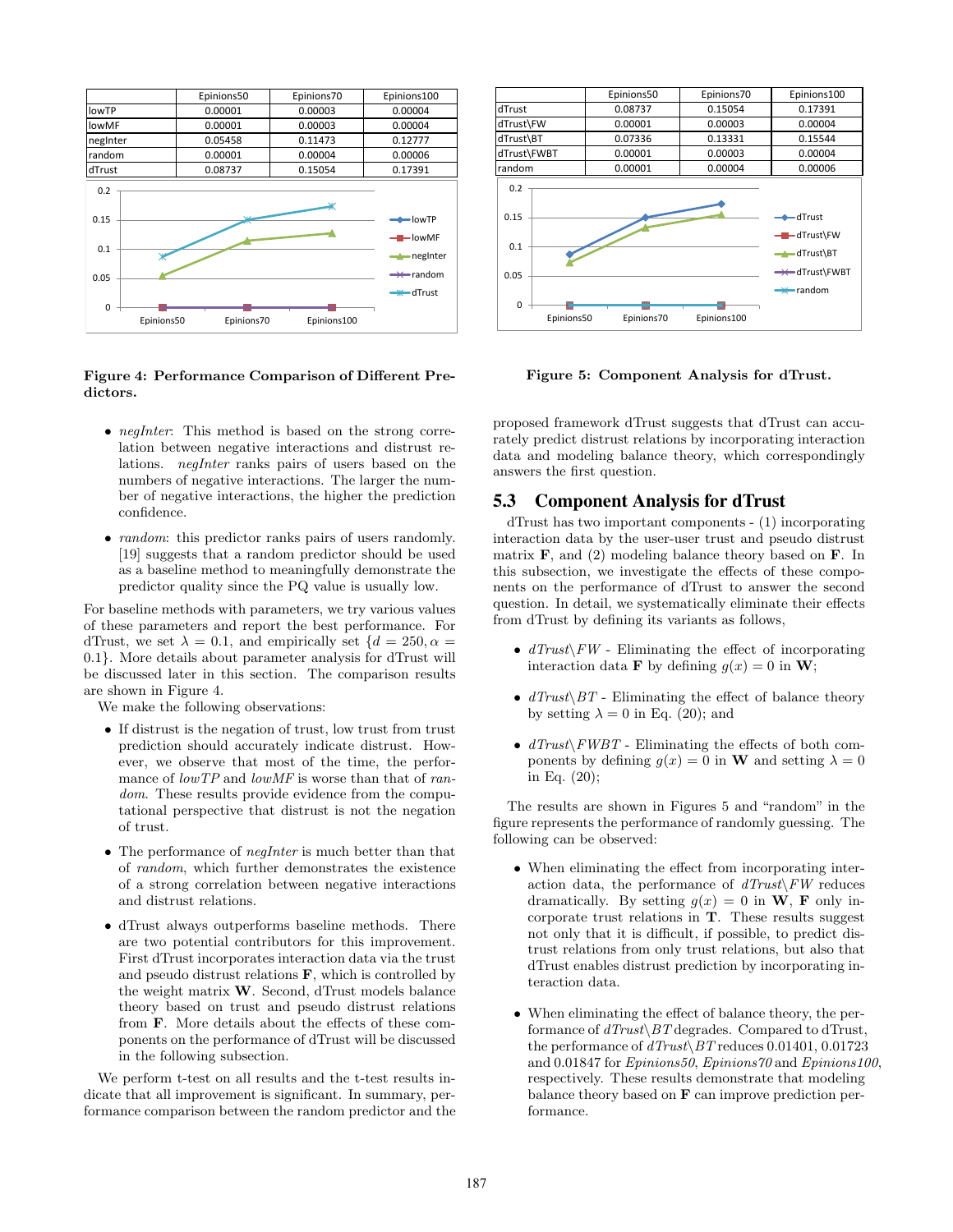

#### Figure 4: Performance Comparison of Different Predictors.

- *negInter*: This method is based on the strong correlation between negative interactions and distrust relations. *negInter* ranks pairs of users based on the numbers of negative interactions. The larger the number of negative interactions, the higher the prediction confidence.
- *random*: this predictor ranks pairs of users randomly. [19] suggests that a random predictor should be used as a baseline method to meaningfully demonstrate the predictor quality since the PQ value is usually low.

For baseline methods with parameters, we try various values of these parameters and report the best performance. For dTrust, we set  $\lambda = 0.1$ , and empirically set  $\{d = 250, \alpha =$ 0.1}. More details about parameter analysis for dTrust will be discussed later in this section. The comparison results are shown in Figure 4.

We make the following observations:

- If distrust is the negation of trust, low trust from trust prediction should accurately indicate distrust. However, we observe that most of the time, the performance of *lowTP* and *lowMF* is worse than that of *random*. These results provide evidence from the computational perspective that distrust is not the negation of trust.
- The performance of *negInter* is much better than that of *random*, which further demonstrates the existence of a strong correlation between negative interactions and distrust relations.
- dTrust always outperforms baseline methods. There are two potential contributors for this improvement. First dTrust incorporates interaction data via the trust and pseudo distrust relations F, which is controlled by the weight matrix W. Second, dTrust models balance theory based on trust and pseudo distrust relations from F. More details about the effects of these components on the performance of dTrust will be discussed in the following subsection.

We perform t-test on all results and the t-test results indicate that all improvement is significant. In summary, performance comparison between the random predictor and the



Figure 5: Component Analysis for dTrust.

proposed framework dTrust suggests that dTrust can accurately predict distrust relations by incorporating interaction data and modeling balance theory, which correspondingly answers the first question.

## **5.3 Component Analysis for dTrust**

dTrust has two important components - (1) incorporating interaction data by the user-user trust and pseudo distrust matrix  $\mathbf{F}$ , and (2) modeling balance theory based on  $\mathbf{F}$ . In this subsection, we investigate the effects of these components on the performance of dTrust to answer the second question. In detail, we systematically eliminate their effects from dTrust by defining its variants as follows,

- *dTrust*\*FW* Eliminating the effect of incorporating interaction data **F** by defining  $g(x) = 0$  in **W**;
- $d$ *Trust* $\setminus BT$  Eliminating the effect of balance theory by setting  $\lambda = 0$  in Eq. (20); and
- *dTrust*\*FWBT* Eliminating the effects of both components by defining  $g(x) = 0$  in **W** and setting  $\lambda = 0$ in Eq. (20);

The results are shown in Figures 5 and "random" in the figure represents the performance of randomly guessing. The following can be observed:

- When eliminating the effect from incorporating interaction data, the performance of *dTrust*\*FW* reduces dramatically. By setting  $g(x) = 0$  in W, F only incorporate trust relations in T. These results suggest not only that it is difficult, if possible, to predict distrust relations from only trust relations, but also that dTrust enables distrust prediction by incorporating interaction data.
- When eliminating the effect of balance theory, the performance of *dTrust*\*BT* degrades. Compared to dTrust, the performance of *dTrust*\*BT* reduces 0.01401, 0.01723 and 0.01847 for *Epinions50*, *Epinions70* and *Epinions100*, respectively. These results demonstrate that modeling balance theory based on F can improve prediction performance.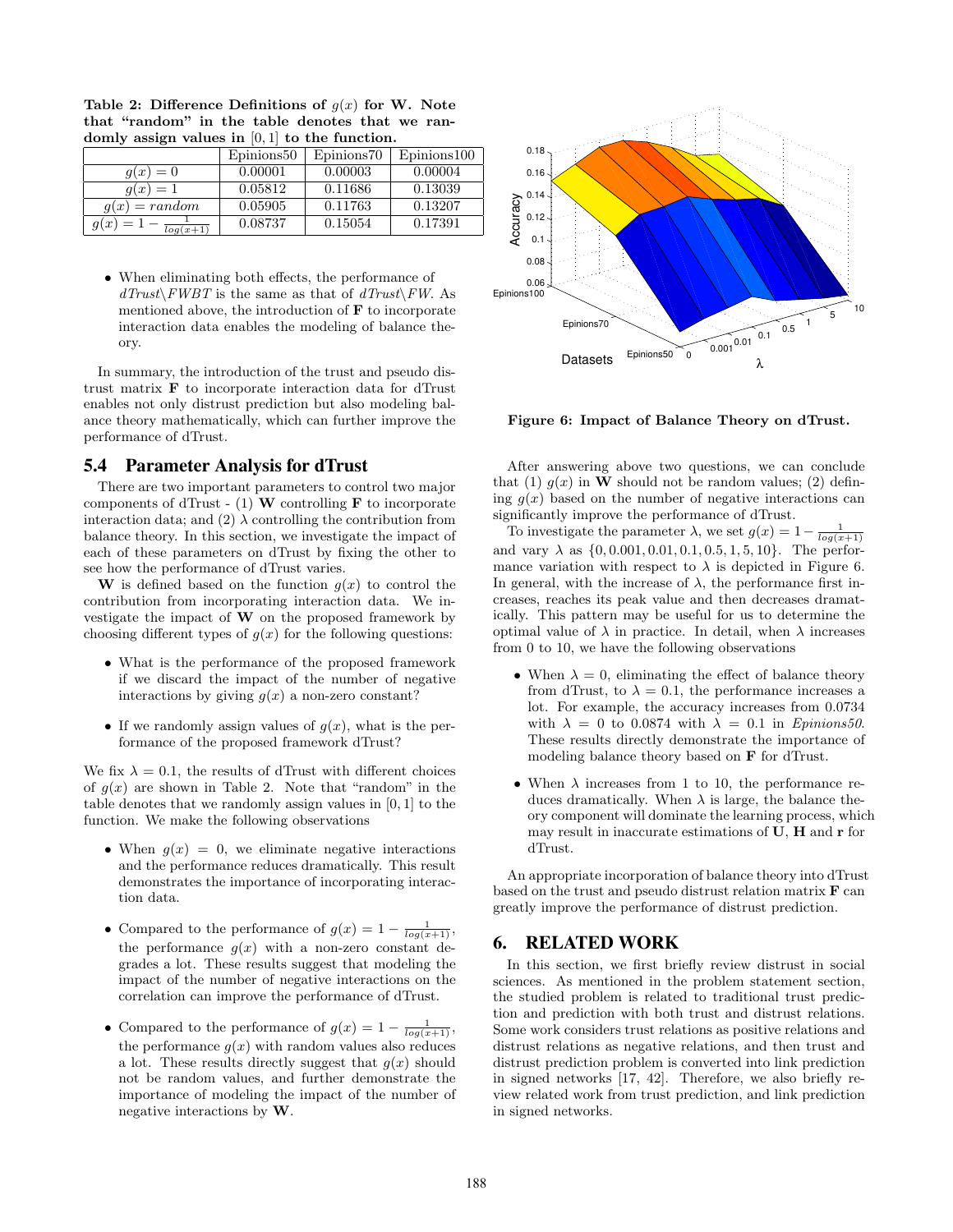|                            | Epinions <sub>50</sub> | Epinions <sup>70</sup> | $E$ pinions $100$ |
|----------------------------|------------------------|------------------------|-------------------|
| $q(x) = 0$                 | 0.00001                | 0.00003                | 0.00004           |
| $q(x)=1$                   | 0.05812                | 0.11686                | 0.13039           |
| $q(x) = random$            | 0.05905                | 0.11763                | 0.13207           |
| $=1$<br>q(x)<br>$log(x+1)$ | 0.08737                | 0.15054                | 0.17391           |

Table 2: Difference Definitions of  $q(x)$  for W. Note that "random" in the table denotes that we randomly assign values in [0, 1] to the function.

• When eliminating both effects, the performance of *dTrust*\*FWBT* is the same as that of *dTrust*\*FW*. As mentioned above, the introduction of  $\bf{F}$  to incorporate interaction data enables the modeling of balance theory.

In summary, the introduction of the trust and pseudo distrust matrix F to incorporate interaction data for dTrust enables not only distrust prediction but also modeling balance theory mathematically, which can further improve the performance of dTrust.

#### **5.4 Parameter Analysis for dTrust**

There are two important parameters to control two major components of dTrust - (1) **W** controlling **F** to incorporate interaction data; and (2)  $\lambda$  controlling the contribution from balance theory. In this section, we investigate the impact of each of these parameters on dTrust by fixing the other to see how the performance of dTrust varies.

W is defined based on the function  $g(x)$  to control the contribution from incorporating interaction data. We investigate the impact of W on the proposed framework by choosing different types of  $g(x)$  for the following questions:

- What is the performance of the proposed framework if we discard the impact of the number of negative interactions by giving  $g(x)$  a non-zero constant?
- If we randomly assign values of  $g(x)$ , what is the performance of the proposed framework dTrust?

We fix  $\lambda = 0.1$ , the results of dTrust with different choices of  $g(x)$  are shown in Table 2. Note that "random" in the table denotes that we randomly assign values in [0, 1] to the function. We make the following observations

- When  $g(x) = 0$ , we eliminate negative interactions and the performance reduces dramatically. This result demonstrates the importance of incorporating interaction data.
- Compared to the performance of  $g(x) = 1 \frac{1}{\log(x+1)}$ , the performance  $g(x)$  with a non-zero constant degrades a lot. These results suggest that modeling the impact of the number of negative interactions on the correlation can improve the performance of dTrust.
- Compared to the performance of  $g(x) = 1 \frac{1}{\log(x+1)}$ , the performance  $g(x)$  with random values also reduces a lot. These results directly suggest that  $g(x)$  should not be random values, and further demonstrate the importance of modeling the impact of the number of negative interactions by W.



Figure 6: Impact of Balance Theory on dTrust.

After answering above two questions, we can conclude that (1)  $g(x)$  in W should not be random values; (2) defining  $g(x)$  based on the number of negative interactions can significantly improve the performance of dTrust.

To investigate the parameter  $\lambda$ , we set  $g(x) = 1 - \frac{1}{\log(x+1)}$ and vary  $\lambda$  as  $\{0, 0.001, 0.01, 0.1, 0.5, 1, 5, 10\}$ . The performance variation with respect to  $\lambda$  is depicted in Figure 6. In general, with the increase of  $\lambda$ , the performance first increases, reaches its peak value and then decreases dramatically. This pattern may be useful for us to determine the optimal value of  $\lambda$  in practice. In detail, when  $\lambda$  increases from 0 to 10, we have the following observations

- When  $\lambda = 0$ , eliminating the effect of balance theory from dTrust, to  $\lambda = 0.1$ , the performance increases a lot. For example, the accuracy increases from 0.0734 with  $\lambda = 0$  to 0.0874 with  $\lambda = 0.1$  in *Epinions50*. These results directly demonstrate the importance of modeling balance theory based on F for dTrust.
- When  $\lambda$  increases from 1 to 10, the performance reduces dramatically. When  $\lambda$  is large, the balance theory component will dominate the learning process, which may result in inaccurate estimations of  $U$ ,  $H$  and  $r$  for dTrust.

An appropriate incorporation of balance theory into dTrust based on the trust and pseudo distrust relation matrix F can greatly improve the performance of distrust prediction.

## **6. RELATED WORK**

In this section, we first briefly review distrust in social sciences. As mentioned in the problem statement section, the studied problem is related to traditional trust prediction and prediction with both trust and distrust relations. Some work considers trust relations as positive relations and distrust relations as negative relations, and then trust and distrust prediction problem is converted into link prediction in signed networks [17, 42]. Therefore, we also briefly review related work from trust prediction, and link prediction in signed networks.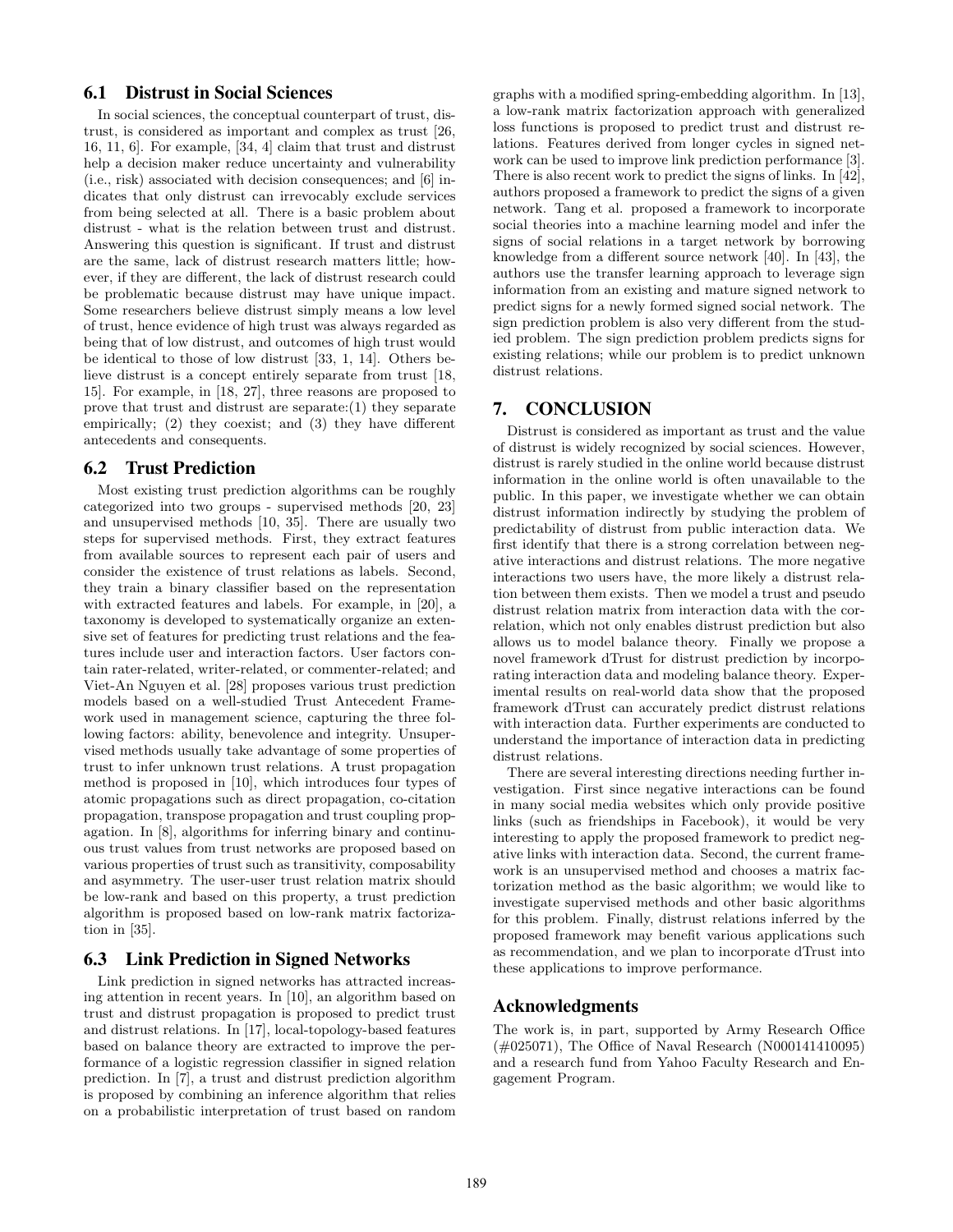# **6.1 Distrust in Social Sciences**

In social sciences, the conceptual counterpart of trust, distrust, is considered as important and complex as trust [26, 16, 11, 6]. For example, [34, 4] claim that trust and distrust help a decision maker reduce uncertainty and vulnerability (i.e., risk) associated with decision consequences; and [6] indicates that only distrust can irrevocably exclude services from being selected at all. There is a basic problem about distrust - what is the relation between trust and distrust. Answering this question is significant. If trust and distrust are the same, lack of distrust research matters little; however, if they are different, the lack of distrust research could be problematic because distrust may have unique impact. Some researchers believe distrust simply means a low level of trust, hence evidence of high trust was always regarded as being that of low distrust, and outcomes of high trust would be identical to those of low distrust [33, 1, 14]. Others believe distrust is a concept entirely separate from trust [18, 15]. For example, in [18, 27], three reasons are proposed to prove that trust and distrust are separate:(1) they separate empirically; (2) they coexist; and (3) they have different antecedents and consequents.

#### **6.2 Trust Prediction**

Most existing trust prediction algorithms can be roughly categorized into two groups - supervised methods [20, 23] and unsupervised methods [10, 35]. There are usually two steps for supervised methods. First, they extract features from available sources to represent each pair of users and consider the existence of trust relations as labels. Second, they train a binary classifier based on the representation with extracted features and labels. For example, in [20], a taxonomy is developed to systematically organize an extensive set of features for predicting trust relations and the features include user and interaction factors. User factors contain rater-related, writer-related, or commenter-related; and Viet-An Nguyen et al. [28] proposes various trust prediction models based on a well-studied Trust Antecedent Framework used in management science, capturing the three following factors: ability, benevolence and integrity. Unsupervised methods usually take advantage of some properties of trust to infer unknown trust relations. A trust propagation method is proposed in [10], which introduces four types of atomic propagations such as direct propagation, co-citation propagation, transpose propagation and trust coupling propagation. In [8], algorithms for inferring binary and continuous trust values from trust networks are proposed based on various properties of trust such as transitivity, composability and asymmetry. The user-user trust relation matrix should be low-rank and based on this property, a trust prediction algorithm is proposed based on low-rank matrix factorization in [35].

## **6.3 Link Prediction in Signed Networks**

Link prediction in signed networks has attracted increasing attention in recent years. In [10], an algorithm based on trust and distrust propagation is proposed to predict trust and distrust relations. In [17], local-topology-based features based on balance theory are extracted to improve the performance of a logistic regression classifier in signed relation prediction. In [7], a trust and distrust prediction algorithm is proposed by combining an inference algorithm that relies on a probabilistic interpretation of trust based on random

graphs with a modified spring-embedding algorithm. In [13], a low-rank matrix factorization approach with generalized loss functions is proposed to predict trust and distrust relations. Features derived from longer cycles in signed network can be used to improve link prediction performance [3]. There is also recent work to predict the signs of links. In [42], authors proposed a framework to predict the signs of a given network. Tang et al. proposed a framework to incorporate social theories into a machine learning model and infer the signs of social relations in a target network by borrowing knowledge from a different source network [40]. In [43], the authors use the transfer learning approach to leverage sign information from an existing and mature signed network to predict signs for a newly formed signed social network. The sign prediction problem is also very different from the studied problem. The sign prediction problem predicts signs for existing relations; while our problem is to predict unknown distrust relations.

# **7. CONCLUSION**

Distrust is considered as important as trust and the value of distrust is widely recognized by social sciences. However, distrust is rarely studied in the online world because distrust information in the online world is often unavailable to the public. In this paper, we investigate whether we can obtain distrust information indirectly by studying the problem of predictability of distrust from public interaction data. We first identify that there is a strong correlation between negative interactions and distrust relations. The more negative interactions two users have, the more likely a distrust relation between them exists. Then we model a trust and pseudo distrust relation matrix from interaction data with the correlation, which not only enables distrust prediction but also allows us to model balance theory. Finally we propose a novel framework dTrust for distrust prediction by incorporating interaction data and modeling balance theory. Experimental results on real-world data show that the proposed framework dTrust can accurately predict distrust relations with interaction data. Further experiments are conducted to understand the importance of interaction data in predicting distrust relations.

There are several interesting directions needing further investigation. First since negative interactions can be found in many social media websites which only provide positive links (such as friendships in Facebook), it would be very interesting to apply the proposed framework to predict negative links with interaction data. Second, the current framework is an unsupervised method and chooses a matrix factorization method as the basic algorithm; we would like to investigate supervised methods and other basic algorithms for this problem. Finally, distrust relations inferred by the proposed framework may benefit various applications such as recommendation, and we plan to incorporate dTrust into these applications to improve performance.

#### **Acknowledgments**

The work is, in part, supported by Army Research Office (#025071), The Office of Naval Research (N000141410095) and a research fund from Yahoo Faculty Research and Engagement Program.